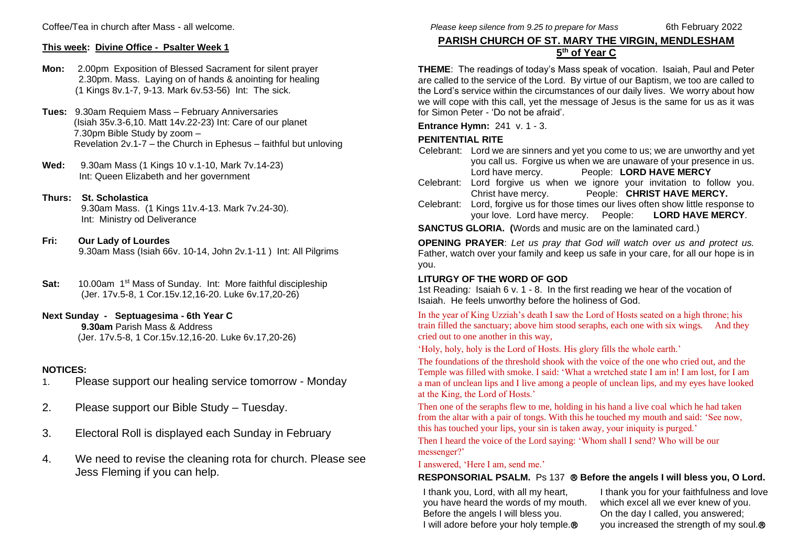Coffee/Tea in church after Mass - all welcome.

## **This week: Divine Office - Psalter Week 1**

- **Mon:** 2.00pm Exposition of Blessed Sacrament for silent prayer 2.30pm. Mass. Laying on of hands & anointing for healing (1 Kings 8v.1-7, 9-13. Mark 6v.53-56) Int: The sick.
- **Tues:** 9.30am Requiem Mass February Anniversaries (Isiah 35v.3-6,10. Matt 14v.22-23) Int: Care of our planet 7.30pm Bible Study by zoom – Revelation 2v.1-7 – the Church in Ephesus – faithful but unloving
- **Wed:** 9.30am Mass (1 Kings 10 v.1-10, Mark 7v.14-23) Int: Queen Elizabeth and her government
- **Thurs: St. Scholastica** 9.30am Mass. (1 Kings 11v.4-13. Mark 7v.24-30). Int: Ministry od Deliverance
- **Fri: Our Lady of Lourdes** 9.30am Mass (Isiah 66v. 10-14, John 2v.1-11 ) Int: All Pilgrims
- **Sat:** 10.00am 1<sup>st</sup> Mass of Sunday. Int: More faithful discipleship (Jer. 17v.5-8, 1 Cor.15v.12,16-20. Luke 6v.17,20-26)
- **Next Sunday Septuagesima - 6th Year C 9.30am** Parish Mass & Address (Jer. 17v.5-8, 1 Cor.15v.12,16-20. Luke 6v.17,20-26)

## **NOTICES:**

- 1. Please support our healing service tomorrow Monday
- 2. Please support our Bible Study Tuesday.
- 3. Electoral Roll is displayed each Sunday in February
- 4. We need to revise the cleaning rota for church. Please see Jess Fleming if you can help.

# **PARISH CHURCH OF ST. MARY THE VIRGIN, MENDLESHAM 5 th of Year C**

**THEME**: The readings of today's Mass speak of vocation. Isaiah, Paul and Peter are called to the service of the Lord. By virtue of our Baptism, we too are called to the Lord's service within the circumstances of our daily lives. We worry about how we will cope with this call, yet the message of Jesus is the same for us as it was for Simon Peter - 'Do not be afraid'.

**Entrance Hymn:** 241 v. 1 - 3.

## **PENITENTIAL RITE**

- Celebrant: Lord we are sinners and yet you come to us; we are unworthy and yet you call us. Forgive us when we are unaware of your presence in us. Lord have mercy. People: **LORD HAVE MERCY**
- Celebrant: Lord forgive us when we ignore your invitation to follow you. Christ have mercy. People: **CHRIST HAVE MERCY.**
- Celebrant: Lord, forgive us for those times our lives often show little response to your love. Lord have mercy. People:**LORD HAVE MERCY**.
- **SANCTUS GLORIA. (**Words and music are on the laminated card.)

**OPENING PRAYER**: *Let us pray that God will watch over us and protect us.* Father, watch over your family and keep us safe in your care, for all our hope is in you.

## **LITURGY OF THE WORD OF GOD**

1st Reading*:* Isaiah 6 v. 1 - 8. In the first reading we hear of the vocation of Isaiah. He feels unworthy before the holiness of God.

In the year of King Uzziah's death I saw the Lord of Hosts seated on a high throne; his train filled the sanctuary; above him stood seraphs, each one with six wings. And they cried out to one another in this way,

'Holy, holy, holy is the Lord of Hosts. His glory fills the whole earth.'

The foundations of the threshold shook with the voice of the one who cried out, and the Temple was filled with smoke. I said: 'What a wretched state I am in! I am lost, for I am a man of unclean lips and I live among a people of unclean lips, and my eyes have looked at the King, the Lord of Hosts.'

Then one of the seraphs flew to me, holding in his hand a live coal which he had taken from the altar with a pair of tongs. With this he touched my mouth and said: 'See now, this has touched your lips, your sin is taken away, your iniquity is purged.'

Then I heard the voice of the Lord saying: 'Whom shall I send? Who will be our messenger?'

### I answered, 'Here I am, send me.'

## **RESPONSORIAL PSALM.** Ps 137 **Before the angels I will bless you, O Lord.**

I thank you, Lord, with all my heart, you have heard the words of my mouth. Before the angels I will bless you. I will adore before your holy temple.<sup>®</sup>

I thank you for your faithfulness and love which excel all we ever knew of you. On the day I called, you answered; you increased the strength of my soul.<sup>®</sup>